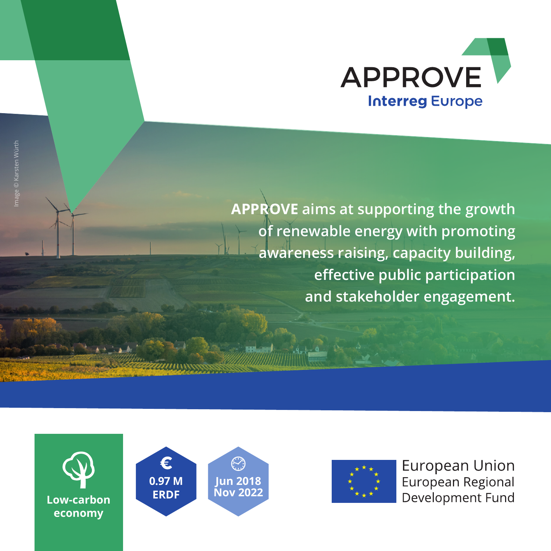

**APPROVE aims at supporting the growth of renewable energy with promoting awareness raising, capacity building, effective public participation and stakeholder engagement.**







**European Union** European Regional Development Fund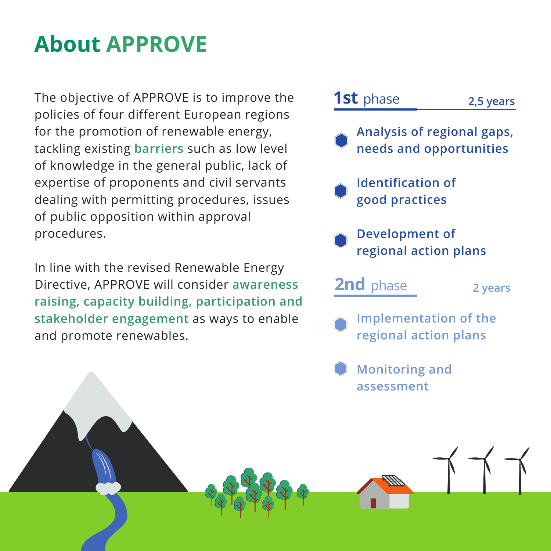# **About APPROVE**

The objective of APPROVE is to improve the policies of four different European regions for the promotion of renewable energy, tackling existing **barriers** such as low level of knowledge in the general public, lack of expertise of proponents and civil servants dealing with permitting procedures, issues of public opposition within approval procedures.

In line with the revised Renewable Energy Directive, APPROVE will consider **awareness raising, capacity building, participation and stakeholder engagement** as ways to enable and promote renewables.

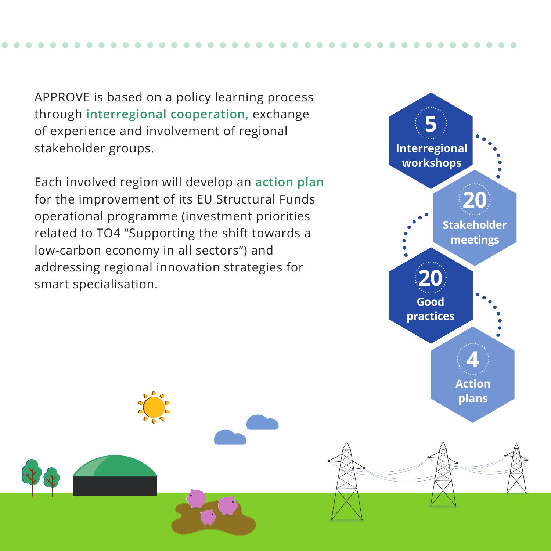APPROVE is based on a policy learning process through **interregional cooperation,** exchange of experience and involvement of regional stakeholder groups.

Each involved region will develop an **action plan** for the improvement of its EU Structural Funds operational programme (investment priorities related to TO4 "Supporting the shift towards a low-carbon economy in all sectors") and addressing regional innovation strategies for smart specialisation.